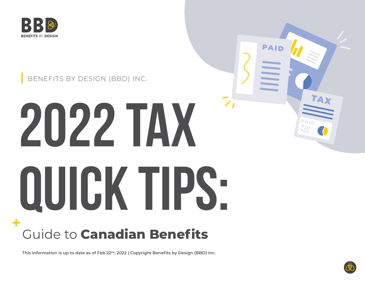

#### BENEFITS BY DESIGN (BBD) INC.

# **2022 Tax Quick Tips:**

# Guide to **Canadian Benefits**

**This information is up to date as of Feb 22nd, 2022 | Copyright Benefits by Design (BBD) Inc.**



PAID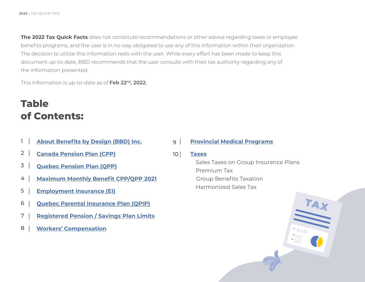**The 2022 Tax Quick Facts** does not constitute recommendations or other advice regarding taxes or employee benefits programs, and the user is in no way obligated to use any of this information within their organization. The decision to utilize this information rests with the user. While every effort has been made to keep this document up-to-date, BBD recommends that the user consults with their tax authority regarding any of the information presented.

This information is up-to-date as of **Feb 22nd, 2022.**

## **Table of Contents:**

- **[About Benefits by Design \(BBD\) Inc.](#page-2-0)** 1
- **[Canada Pension Plan \(CPP\)](#page-3-0)** 2
- **[Quebec Pension Plan \(QPP\)](#page-4-0)** 3
- **[Maximum Monthly Benefit CPP/QPP 2021](#page-5-0)** 4
- **[Employment Insurance \(EI\)](#page-6-0)** 5
- **[Quebec Parental Insurance Plan \(QPIP\)](#page-7-0)** 6
- **[Registered Pension / Savings Plan Limits](#page-8-0)** 7
- **[Workers' Compensation](#page-9-0)** 8

#### **[Provincial Medical Programs](#page-10-0)**  $9<sup>1</sup>$

#### **[Taxes](#page-13-0)**  $10<sup>1</sup>$

Sales Taxes on Group Insurance Plans Premium Tax Group Benefits Taxation Harmonized Sales Tax

TAX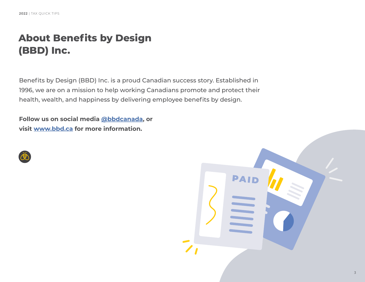# <span id="page-2-0"></span>**About Benefits by Design (BBD) Inc.**

Benefits by Design (BBD) Inc. is a proud Canadian success story. Established in 1996, we are on a mission to help working Canadians promote and protect their health, wealth, and happiness by delivering employee benefits by design.

**Follow us on social media [@bbdcanada](https://www.facebook.com/BBDCanada), or visit [www.bbd.ca](http://www.bbd.ca) for more information.**



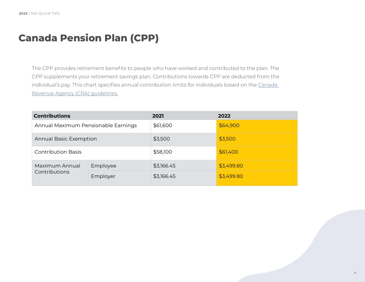#### <span id="page-3-0"></span>**Canada Pension Plan (CPP)**

The CPP provides retirement benefits to people who have worked and contributed to the plan. The CPP supplements your retirement savings plan. Contributions towards CPP are deducted from the individual's pay. This chart specifies annual contribution limits for individuals based on the Canada [Revenue Agency \(CRA\) guidelines.](https://www.canada.ca/en/revenue-agency/services/tax/businesses/topics/payroll/payroll-deductions-contributions/canada-pension-plan-cpp/cpp-contribution-rates-maximums-exemptions.html)

| <b>Contributions</b>                |          | 2021       | 2022       |
|-------------------------------------|----------|------------|------------|
| Annual Maximum Pensionable Earnings |          | \$61,600   | \$64,900   |
| <b>Annual Basic Exemption</b>       |          | \$3,500    | \$3,500    |
| <b>Contribution Basis</b>           |          | \$58,100   | \$61,400   |
| Maximum Annual<br>Contributions     | Employee | \$3,166.45 | \$3,499.80 |
|                                     | Employer | \$3,166.45 | \$3,499.80 |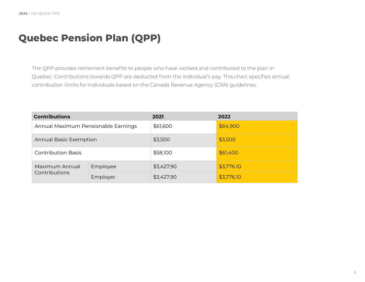# <span id="page-4-0"></span>**Quebec Pension Plan (QPP)**

The QPP provides retirement benefits to people who have worked and contributed to the plan in Quebec. Contributions towards QPP are deducted from the individual's pay. This chart specifies annual contribution limits for individuals based on the Canada Revenue Agency (CRA) guidelines.

| <b>Contributions</b>                |          | 2021       | 2022       |
|-------------------------------------|----------|------------|------------|
| Annual Maximum Pensionable Earnings |          | \$61,600   | \$64,900   |
| <b>Annual Basic Exemption</b>       |          | \$3,500    | \$3,500    |
| <b>Contribution Basis</b>           |          | \$58,100   | \$61,400   |
| Maximum Annual<br>Contributions     | Employee | \$3,427.90 | \$3,776.10 |
|                                     | Employer | \$3,427.90 | \$3,776.10 |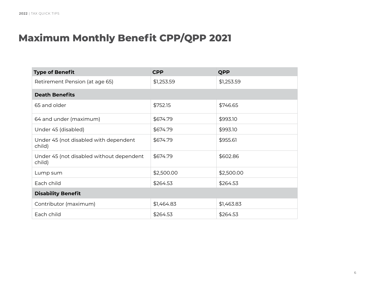# <span id="page-5-0"></span>**Maximum Monthly Benefit CPP/QPP 2021**

| <b>Type of Benefit</b>                             | <b>CPP</b> | <b>QPP</b> |  |
|----------------------------------------------------|------------|------------|--|
| Retirement Pension (at age 65)                     | \$1,253.59 | \$1,253.59 |  |
| <b>Death Benefits</b>                              |            |            |  |
| 65 and older                                       | \$752.15   | \$746.65   |  |
| 64 and under (maximum)                             | \$674.79   | \$993.10   |  |
| Under 45 (disabled)                                | \$674.79   | \$993.10   |  |
| Under 45 (not disabled with dependent<br>child)    | \$674.79   | \$955.61   |  |
| Under 45 (not disabled without dependent<br>child) | \$674.79   | \$602.86   |  |
| Lump sum                                           | \$2,500.00 | \$2,500.00 |  |
| Each child                                         | \$264.53   | \$264.53   |  |
| <b>Disability Benefit</b>                          |            |            |  |
| Contributor (maximum)                              | \$1,464.83 | \$1,463.83 |  |
| Each child                                         | \$264.53   | \$264.53   |  |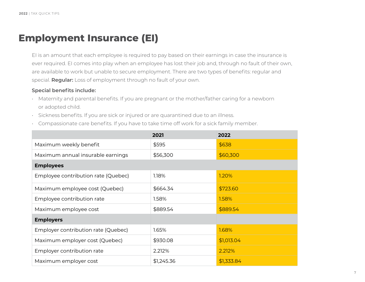#### <span id="page-6-0"></span>**Employment Insurance (EI)**

EI is an amount that each employee is required to pay based on their earnings in case the insurance is ever required. EI comes into play when an employee has lost their job and, through no fault of their own, are available to work but unable to secure employment. There are two types of benefits: regular and special. **Regular:** Loss of employment through no fault of your own.

#### **Special benefits include:**

- Maternity and parental benefits. If you are pregnant or the mother/father caring for a newborn or adopted child.
- Sickness benefits. If you are sick or injured or are quarantined due to an illness.
- Compassionate care benefits. If you have to take time off work for a sick family member.

|                                     | 2021       | 2022       |
|-------------------------------------|------------|------------|
| Maximum weekly benefit              | \$595      | \$638      |
| Maximum annual insurable earnings   | \$56,300   | \$60,300   |
| <b>Employees</b>                    |            |            |
| Employee contribution rate (Quebec) | 1.18%      | 1.20%      |
| Maximum employee cost (Quebec)      | \$664.34   | \$723.60   |
| Employee contribution rate          | 1.58%      | 1.58%      |
| Maximum employee cost               | \$889.54   | \$889.54   |
| <b>Employers</b>                    |            |            |
| Employer contribution rate (Quebec) | 1.65%      | 1.68%      |
| Maximum employer cost (Quebec)      | \$930.08   | \$1,013.04 |
| Employer contribution rate          | 2.212%     | 2.212%     |
| Maximum employer cost               | \$1,245.36 | \$1,333.84 |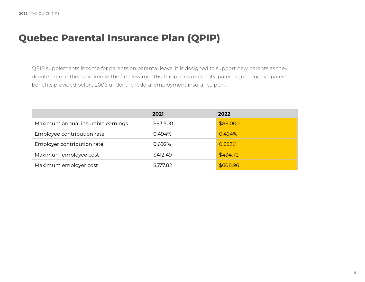# <span id="page-7-0"></span>**Quebec Parental Insurance Plan (QPIP)**

QPIP supplements income for parents on parental leave. It is designed to support new parents as they devote time to their children in the first few months. It replaces maternity, parental, or adoptive parent benefits provided before 2006 under the federal employment insurance plan.

|                                   | 2021     | 2022     |
|-----------------------------------|----------|----------|
| Maximum annual insurable earnings | \$83,500 | \$88,000 |
| Employee contribution rate        | 0.494%   | 0.494%   |
| Employer contribution rate        | 0.692%   | 0.692%   |
| Maximum employee cost             | \$412.49 | \$434.72 |
| Maximum employer cost             | \$577.82 | \$608.96 |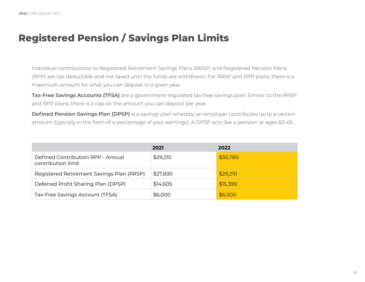# <span id="page-8-0"></span>**Registered Pension / Savings Plan Limits**

Individual contributions to Registered Retirement Savings Plans (RRSP) and Registered Pension Plans (RPP) are tax-deductible and not taxed until the funds are withdrawn. For RRSP and RPP plans, there is a maximum amount for what you can deposit in a given year.

**Tax-Free Savings Accounts (TFSA)** are a government-regulated tax-free savings plan. Similar to the RRSP and RPP plans, there is a cap on the amount you can deposit per year.

**Defined Pension Savings Plan (DPSP)** is a savings plan whereby an employer contributes up to a certain amount (typically in the form of a percentage of your earnings). A DPSP acts like a pension at ages 60-65.

|                                                         | 2021     | 2022     |
|---------------------------------------------------------|----------|----------|
| Defined Contribution RPP - Annual<br>contribution limit | \$29,210 | \$30,780 |
| Registered Retirement Savings Plan (RRSP)               | \$27,830 | \$29,210 |
| Deferred Profit Sharing Plan (DPSP)                     | \$14,605 | \$15,390 |
| Tax-Free Savings Account (TFSA)                         | \$6,000  | \$6,000  |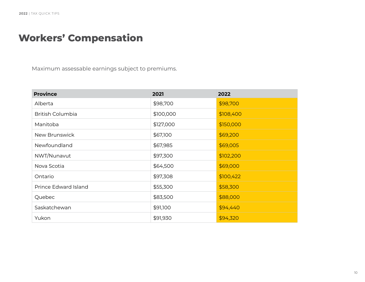### <span id="page-9-0"></span>**Workers' Compensation**

Maximum assessable earnings subject to premiums.

| <b>Province</b>         | 2021      | 2022      |
|-------------------------|-----------|-----------|
| Alberta                 | \$98,700  | \$98,700  |
| <b>British Columbia</b> | \$100,000 | \$108,400 |
| Manitoba                | \$127,000 | \$150,000 |
| New Brunswick           | \$67,100  | \$69,200  |
| Newfoundland            | \$67,985  | \$69,005  |
| NWT/Nunavut             | \$97,300  | \$102,200 |
| Nova Scotia             | \$64,500  | \$69,000  |
| Ontario                 | \$97,308  | \$100,422 |
| Prince Edward Island    | \$55,300  | \$58,300  |
| Quebec                  | \$83,500  | \$88,000  |
| Saskatchewan            | \$91,100  | \$94,440  |
| Yukon                   | \$91,930  | \$94,320  |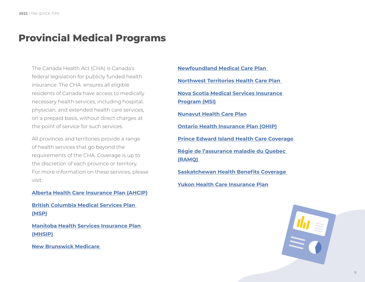#### <span id="page-10-0"></span>**Provincial Medical Programs**

The Canada Health Act (CHA) is Canada's federal legislation for publicly funded health insurance. The CHA ensures all eligible residents of Canada have access to medically necessary health services, including hospital, physician, and extended health care services, on a prepaid basis, without direct charges at the point of service for such services.

All provinces and territories provide a range of health services that go beyond the requirements of the CHA. Coverage is up to the discretion of each province or territory. For more information on these services, please visit:

#### **[Alberta Health Care Insurance Plan \(AHCIP\)](https://www.alberta.ca/ahcip.aspx)**

**[British Columbia Medical Services Plan](https://www2.gov.bc.ca/gov/content/health/health-drug-coverage/msp)  [\(MSP\)](https://www2.gov.bc.ca/gov/content/health/health-drug-coverage/msp)**

**[Manitoba Health Services Insurance Plan](https://www.gov.mb.ca/health/mhsip/)  [\(MHSIP\)](https://www.gov.mb.ca/health/mhsip/)**

**[New Brunswick Medicare](https://www2.gnb.ca/content/gnb/en/departments/health/MedicarePrescriptionDrugPlan.html)** 

**[Newfoundland Medical Care Plan](https://www.gov.nl.ca/hcs/mcp/)  [Northwest Territories Health Care Plan](https://www.hss.gov.nt.ca/en/services/nwt-health-care-plan)  [Nova Scotia Medical Services Insurance](https://novascotia.ca/dhw/msi/)  [Program \(MSI\)](https://novascotia.ca/dhw/msi/) [Nunavut Health Care Plan](https://www.gov.nu.ca/health/information/nunavut-health-care-plan) [Ontario Health Insurance Plan \(OHIP\)](https://www.ontario.ca/page/health-care-ontario) [Prince Edward Island Health Care Coverage](https://www.princeedwardisland.ca/en/topic/health-care-coverage)  [Régie de l'assurance maladie du Quebec](https://www.ramq.gouv.qc.ca/en/citizens/health-insurance)  [\(RAMQ\)](https://www.ramq.gouv.qc.ca/en/citizens/health-insurance)  [Saskatchewan Health Benefits Coverage](https://www.saskatchewan.ca/residents/health/prescription-drug-plans-and-health-coverage/health-benefits-coverage)  [Yukon Health Care Insurance Plan](https://hss.yukon.ca/yhcip.php)**

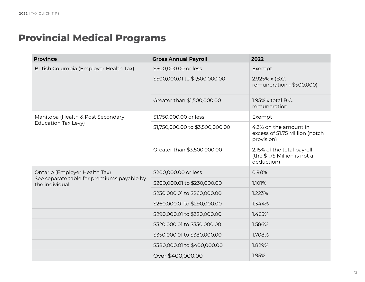# **Provincial Medical Programs**

| <b>Province</b>                                              | <b>Gross Annual Payroll</b>      | 2022                                                                     |
|--------------------------------------------------------------|----------------------------------|--------------------------------------------------------------------------|
| British Columbia (Employer Health Tax)                       | \$500,000.00 or less             | Exempt                                                                   |
|                                                              | \$500,000.01 to \$1,500,000.00   | 2.925% x (B.C.<br>remuneration - \$500,000)                              |
|                                                              | Greater than \$1,500,000.00      | 1.95% x total B.C.<br>remuneration                                       |
| Manitoba (Health & Post Secondary                            | \$1,750,000.00 or less           | Exempt                                                                   |
| Education Tax Levy)                                          | \$1,750,000.00 to \$3,500,000.00 | 4.3% on the amount in<br>excess of \$1.75 Million (notch<br>provision)   |
|                                                              | Greater than \$3,500,000.00      | 2.15% of the total payroll<br>(the \$1.75 Million is not a<br>deduction) |
| Ontario (Employer Health Tax)                                | \$200,000.00 or less             | 0.98%                                                                    |
| See separate table for premiums payable by<br>the individual | \$200,000.01 to \$230,000.00     | 1.101%                                                                   |
|                                                              | \$230,000.01 to \$260,000.00     | 1.223%                                                                   |
|                                                              | \$260,000.01 to \$290,000.00     | 1.344%                                                                   |
|                                                              | \$290,000.01 to \$320,000.00     | 1.465%                                                                   |
|                                                              | \$320,000.01 to \$350,000.00     | 1.586%                                                                   |
|                                                              | \$350,000.01 to \$380,000.00     | 1.708%                                                                   |
|                                                              | \$380,000.01 to \$400,000.00     | 1.829%                                                                   |
|                                                              | Over \$400,000.00                | 1.95%                                                                    |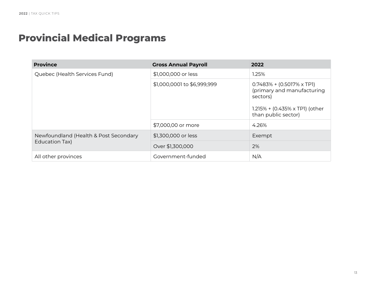# **Provincial Medical Programs**

| <b>Province</b>                                         | <b>Gross Annual Payroll</b> | 2022                                                                                                                                |
|---------------------------------------------------------|-----------------------------|-------------------------------------------------------------------------------------------------------------------------------------|
| Quebec (Health Services Fund)                           | \$1,000,000 or less         | 1.25%                                                                                                                               |
|                                                         | \$1,000,0001 to \$6,999,999 | $0.7483% + (0.5017% \times TPI)$<br>(primary and manufacturing<br>sectors)<br>1.215% + (0.435% x TP1) (other<br>than public sector) |
|                                                         | \$7,000,00 or more          | 4.26%                                                                                                                               |
| Newfoundland (Health & Post Secondary<br>Education Tax) | \$1,300,000 or less         | Exempt                                                                                                                              |
|                                                         | Over \$1,300,000            | 2%                                                                                                                                  |
| All other provinces                                     | Government-funded           | N/A                                                                                                                                 |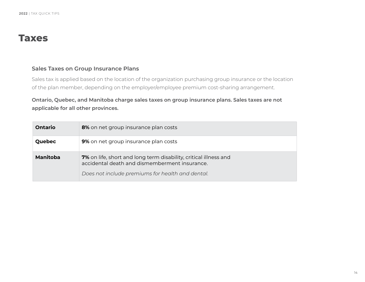#### <span id="page-13-0"></span>**Taxes**

#### **Sales Taxes on Group Insurance Plans**

Sales tax is applied based on the location of the organization purchasing group insurance or the location of the plan member, depending on the employer/employee premium cost-sharing arrangement.

#### **Ontario, Quebec, and Manitoba charge sales taxes on group insurance plans. Sales taxes are not applicable for all other provinces.**

| Ontario  | 8% on net group insurance plan costs                                                                                     |
|----------|--------------------------------------------------------------------------------------------------------------------------|
| Quebec   | <b>9%</b> on net group insurance plan costs                                                                              |
| Manitoba | <b>7%</b> on life, short and long term disability, critical illness and<br>accidental death and dismemberment insurance. |
|          | Does not include premiums for health and dental.                                                                         |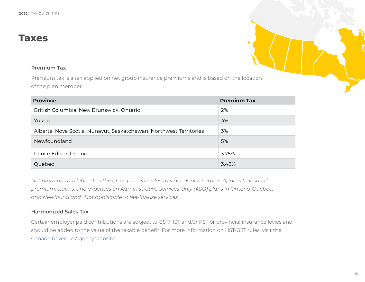#### **Taxes**

#### **Premium Tax**

Premium tax is a tax applied on net group insurance premiums and is based on the location of the plan member.

| <b>Province</b>                                                    | <b>Premium Tax</b> |
|--------------------------------------------------------------------|--------------------|
| British Columbia, New Brunswick, Ontario                           | 2%                 |
| Yukon                                                              | 4%                 |
| Alberta, Nova Scotia, Nunavut, Saskatchewan, Northwest Territories | 3%                 |
| Newfoundland                                                       | 5%                 |
| Prince Edward Island                                               | 3.75%              |
| Quebec                                                             | 3.48%              |

*Net premiums is defined as the gross premiums less dividends or a surplus. Applies to insured premium, claims, and expenses on Administrative Services Only (ASO) plans in Ontario, Quebec, and Newfoundland. Not applicable to fee-for-use services.* 

#### **Harmonized Sales Tax**

Certain employer paid contributions are subject to GST/HST and/or PST or provincial insurance levies and should be added to the value of the taxable benefit. For more information on HST/GST rules, visit the [Canada Revenue Agency website.](https://www.canada.ca/en/revenue-agency.html)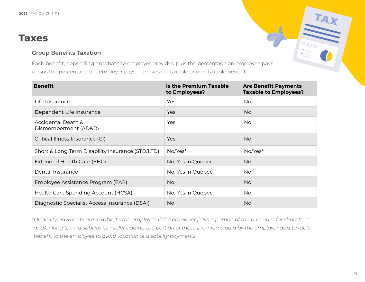#### **Taxes**

#### **Group Benefits Taxation**

Each benefit, depending on what the employer provides, plus the percentage an employee pays versus the percentage the employer pays — makes it a taxable or non-taxable benefit.

| <b>Benefit</b>                                   | <b>Is the Premium Taxable</b><br>to Employees? | <b>Are Benefit Payments</b><br><b>Taxable to Employees?</b> |
|--------------------------------------------------|------------------------------------------------|-------------------------------------------------------------|
| Life Insurance                                   | Yes                                            | <b>No</b>                                                   |
| Dependent Life Insurance                         | <b>Yes</b>                                     | <b>No</b>                                                   |
| Accidental Death &<br>Dismemberment (AD&D)       | Yes                                            | <b>No</b>                                                   |
| Critical Illness Insurance (CI)                  | <b>Yes</b>                                     | <b>No</b>                                                   |
| Short & Long Term Disability Insurance (STD/LTD) | No/Yes*                                        | No/Yes*                                                     |
| Extended Health Care (EHC)                       | No; Yes in Quebec                              | <b>No</b>                                                   |
| Dental Insurance                                 | No; Yes in Quebec                              | <b>No</b>                                                   |
| Employee Assistance Program (EAP)                | <b>No</b>                                      | <b>No</b>                                                   |
| Health Care Spending Account (HCSA)              | No; Yes in Quebec                              | <b>No</b>                                                   |
| Diagnostic Specialist Access Insurance (DSAI)    | <b>No</b>                                      | <b>No</b>                                                   |

*\*Disability payments are taxable to the employee if the employer pays a portion of the premium for short term and/or long term disability. Consider adding the portion of these premiums paid by the employer as a taxable benefit to the employee to avoid taxation of disability payments.*